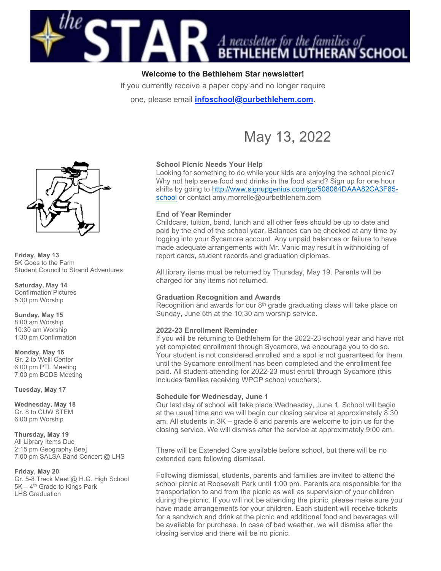

# Welcome to the Bethlehem Star newsletter!

If you currently receive a paper copy and no longer require

one, please email *infoschool@ourbethlehem.com*.

# May 13, 2022



Friday, May 13 5K Goes to the Farm Student Council to Strand Adventures

Saturday, May 14 Confirmation Pictures 5:30 pm Worship

Sunday, May 15 8:00 am Worship 10:30 am Worship 1:30 pm Confirmation

Monday, May 16 Gr. 2 to Weill Center 6:00 pm PTL Meeting 7:00 pm BCDS Meeting

Tuesday, May 17

Wednesday, May 18 Gr. 8 to CUW STEM 6:00 pm Worship

Thursday, May 19 All Library Items Due 2:15 pm Geography Bee] 7:00 pm SALSA Band Concert @ LHS

Friday, May 20

Gr. 5-8 Track Meet @ H.G. High School  $5K - 4<sup>th</sup>$  Grade to Kings Park LHS Graduation

# School Picnic Needs Your Help

Looking for something to do while your kids are enjoying the school picnic? Why not help serve food and drinks in the food stand? Sign up for one hour shifts by going to http://www.signupgenius.com/go/508084DAAA82CA3F85 school or contact amy.morrelle@ourbethlehem.com

### End of Year Reminder

Childcare, tuition, band, lunch and all other fees should be up to date and paid by the end of the school year. Balances can be checked at any time by logging into your Sycamore account. Any unpaid balances or failure to have made adequate arrangements with Mr. Vanic may result in withholding of report cards, student records and graduation diplomas.

All library items must be returned by Thursday, May 19. Parents will be charged for any items not returned.

### Graduation Recognition and Awards

Recognition and awards for our  $8<sup>th</sup>$  grade graduating class will take place on Sunday, June 5th at the 10:30 am worship service.

### 2022-23 Enrollment Reminder

If you will be returning to Bethlehem for the 2022-23 school year and have not yet completed enrollment through Sycamore, we encourage you to do so. Your student is not considered enrolled and a spot is not guaranteed for them until the Sycamore enrollment has been completed and the enrollment fee paid. All student attending for 2022-23 must enroll through Sycamore (this includes families receiving WPCP school vouchers).

### Schedule for Wednesday, June 1

Our last day of school will take place Wednesday, June 1. School will begin at the usual time and we will begin our closing service at approximately 8:30 am. All students in 3K – grade 8 and parents are welcome to join us for the closing service. We will dismiss after the service at approximately 9:00 am.

There will be Extended Care available before school, but there will be no extended care following dismissal.

Following dismissal, students, parents and families are invited to attend the school picnic at Roosevelt Park until 1:00 pm. Parents are responsible for the transportation to and from the picnic as well as supervision of your children during the picnic. If you will not be attending the picnic, please make sure you have made arrangements for your children. Each student will receive tickets for a sandwich and drink at the picnic and additional food and beverages will be available for purchase. In case of bad weather, we will dismiss after the closing service and there will be no picnic.